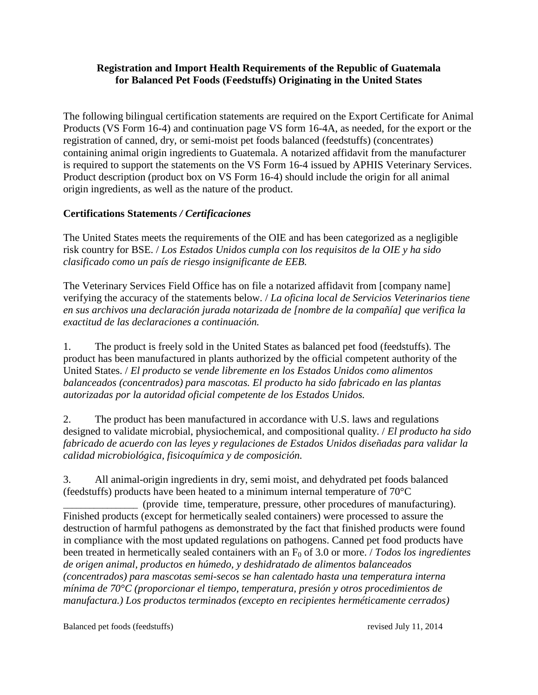## **Registration and Import Health Requirements of the Republic of Guatemala for Balanced Pet Foods (Feedstuffs) Originating in the United States**

The following bilingual certification statements are required on the Export Certificate for Animal Products (VS Form 16-4) and continuation page VS form 16-4A, as needed, for the export or the registration of canned, dry, or semi-moist pet foods balanced (feedstuffs) (concentrates) containing animal origin ingredients to Guatemala. A notarized affidavit from the manufacturer is required to support the statements on the VS Form 16-4 issued by APHIS Veterinary Services. Product description (product box on VS Form 16-4) should include the origin for all animal origin ingredients, as well as the nature of the product.

## **Certifications Statements** */ Certificaciones*

The United States meets the requirements of the OIE and has been categorized as a negligible risk country for BSE. / *Los Estados Unidos cumpla con los requisitos de la OIE y ha sido clasificado como un país de riesgo insignificante de EEB.*

The Veterinary Services Field Office has on file a notarized affidavit from [company name] verifying the accuracy of the statements below. / *La oficina local de Servicios Veterinarios tiene en sus archivos una declaración jurada notarizada de [nombre de la compañía] que verifica la exactitud de las declaraciones a continuación.*

1. The product is freely sold in the United States as balanced pet food (feedstuffs). The product has been manufactured in plants authorized by the official competent authority of the United States. / *El producto se vende libremente en los Estados Unidos como alimentos balanceados (concentrados) para mascotas. El producto ha sido fabricado en las plantas autorizadas por la autoridad oficial competente de los Estados Unidos.*

2. The product has been manufactured in accordance with U.S. laws and regulations designed to validate microbial, physiochemical, and compositional quality. / *El producto ha sido fabricado de acuerdo con las leyes y regulaciones de Estados Unidos diseñadas para validar la calidad microbiológica, fisicoquímica y de composición.*

3. All animal-origin ingredients in dry, semi moist, and dehydrated pet foods balanced (feedstuffs) products have been heated to a minimum internal temperature of 70°C

\_\_\_\_\_\_\_\_\_\_\_\_\_\_\_\_\_ (provide time, temperature, pressure, other procedures of manufacturing). Finished products (except for hermetically sealed containers) were processed to assure the destruction of harmful pathogens as demonstrated by the fact that finished products were found in compliance with the most updated regulations on pathogens. Canned pet food products have been treated in hermetically sealed containers with an F<sub>0</sub> of 3.0 or more. / *Todos los ingredientes de origen animal, productos en húmedo, y deshidratado de alimentos balanceados (concentrados) para mascotas semi-secos se han calentado hasta una temperatura interna mínima de 70°C (proporcionar el tiempo, temperatura, presión y otros procedimientos de manufactura.) Los productos terminados (excepto en recipientes herméticamente cerrados)* 

Balanced pet foods (feedstuffs) revised July 11, 2014